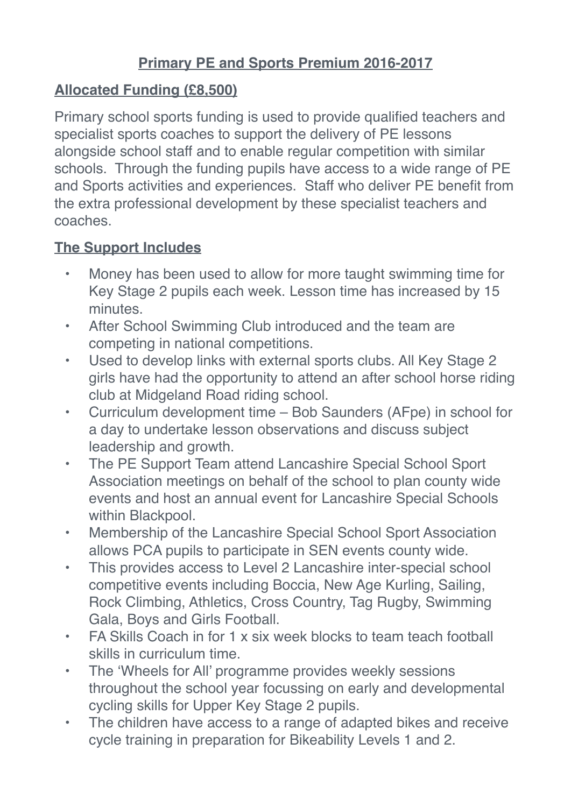## **Primary PE and Sports Premium 2016-2017**

## **Allocated Funding (£8,500)**

Primary school sports funding is used to provide qualified teachers and specialist sports coaches to support the delivery of PE lessons alongside school staff and to enable regular competition with similar schools. Through the funding pupils have access to a wide range of PE and Sports activities and experiences. Staff who deliver PE benefit from the extra professional development by these specialist teachers and coaches.

## **The Support Includes**

- Money has been used to allow for more taught swimming time for Key Stage 2 pupils each week. Lesson time has increased by 15 minutes.
- After School Swimming Club introduced and the team are competing in national competitions.
- Used to develop links with external sports clubs. All Key Stage 2 girls have had the opportunity to attend an after school horse riding club at Midgeland Road riding school.
- Curriculum development time Bob Saunders (AFpe) in school for a day to undertake lesson observations and discuss subject leadership and growth.
- The PE Support Team attend Lancashire Special School Sport Association meetings on behalf of the school to plan county wide events and host an annual event for Lancashire Special Schools within Blackpool.
- Membership of the Lancashire Special School Sport Association allows PCA pupils to participate in SEN events county wide.
- This provides access to Level 2 Lancashire inter-special school competitive events including Boccia, New Age Kurling, Sailing, Rock Climbing, Athletics, Cross Country, Tag Rugby, Swimming Gala, Boys and Girls Football.
- FA Skills Coach in for 1 x six week blocks to team teach football skills in curriculum time.
- The 'Wheels for All' programme provides weekly sessions throughout the school year focussing on early and developmental cycling skills for Upper Key Stage 2 pupils.
- The children have access to a range of adapted bikes and receive cycle training in preparation for Bikeability Levels 1 and 2.